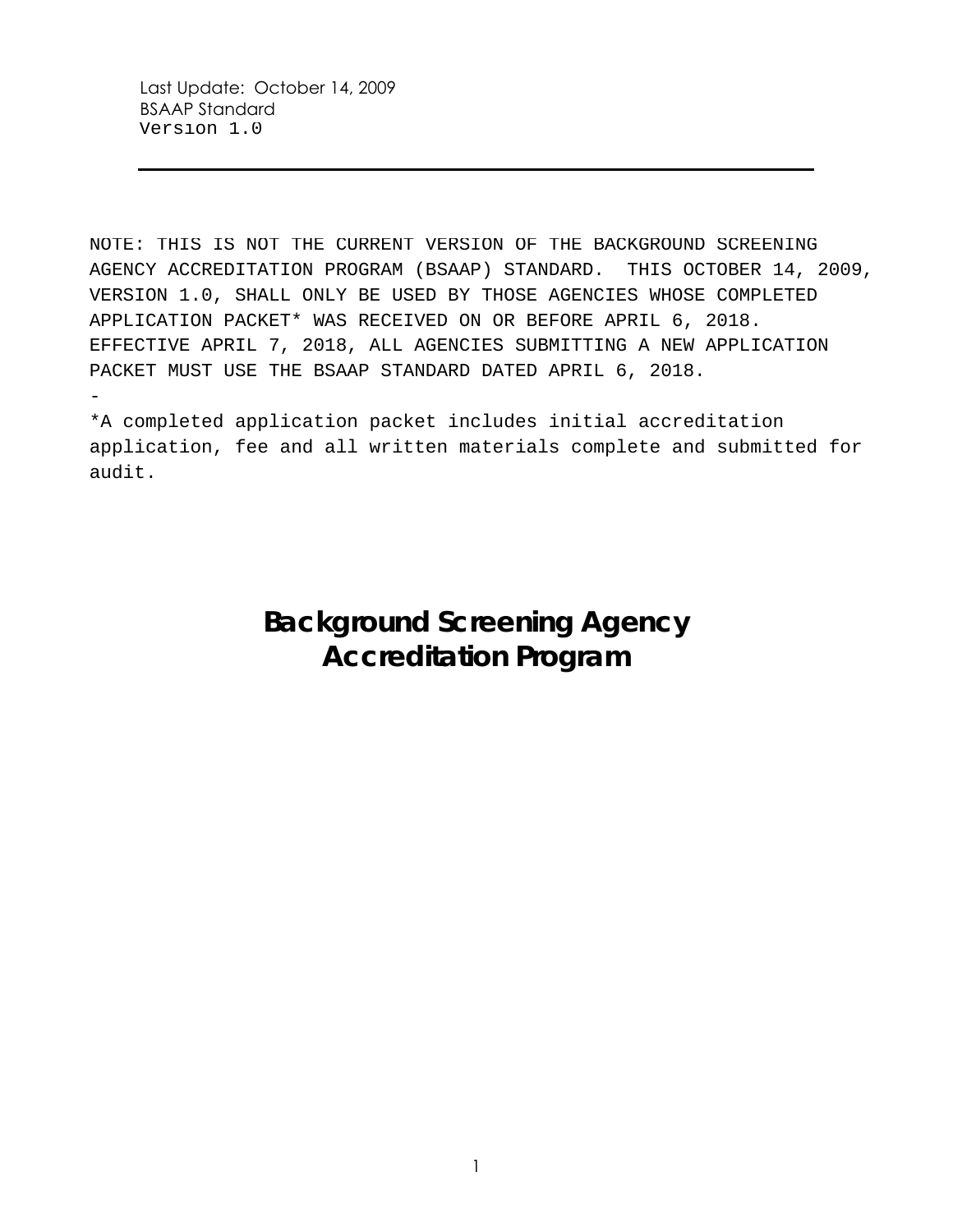NOTE: THIS IS NOT THE CURRENT VERSION OF THE BACKGROUND SCREENING AGENCY ACCREDITATION PROGRAM (BSAAP) STANDARD. THIS OCTOBER 14, 2009, VERSION 1.0, SHALL ONLY BE USED BY THOSE AGENCIES WHOSE COMPLETED APPLICATION PACKET\* WAS RECEIVED ON OR BEFORE APRIL 6, 2018. EFFECTIVE APRIL 7, 2018, ALL AGENCIES SUBMITTING A NEW APPLICATION PACKET MUST USE THE BSAAP STANDARD DATED APRIL 6, 2018. -

\*A completed application packet includes initial accreditation application, fee and all written materials complete and submitted for audit.

# **Background Screening Agency Accreditation Program**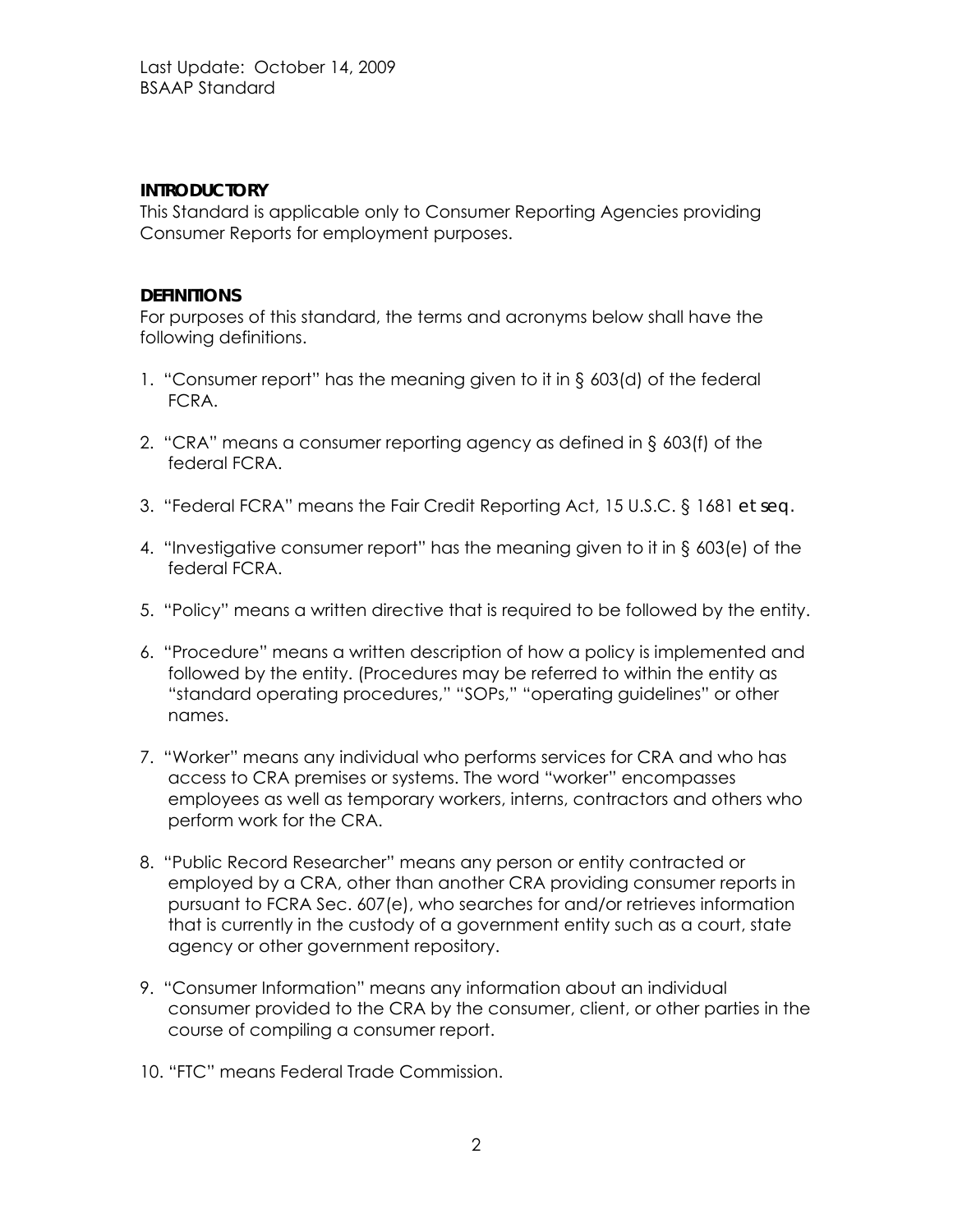## **INTRODUCTORY**

This Standard is applicable only to Consumer Reporting Agencies providing Consumer Reports for employment purposes.

## **DEFINITIONS**

For purposes of this standard, the terms and acronyms below shall have the following definitions.

- 1. "Consumer report" has the meaning given to it in § 603(d) of the federal FCRA.
- 2. "CRA" means a consumer reporting agency as defined in § 603(f) of the federal FCRA.
- 3. "Federal FCRA" means the Fair Credit Reporting Act, 15 U.S.C. § 1681 *et seq.*
- 4. "Investigative consumer report" has the meaning given to it in § 603(e) of the federal FCRA.
- 5. "Policy" means a written directive that is required to be followed by the entity.
- 6. "Procedure" means a written description of how a policy is implemented and followed by the entity. (Procedures may be referred to within the entity as "standard operating procedures," "SOPs," "operating guidelines" or other names.
- 7. "Worker" means any individual who performs services for CRA and who has access to CRA premises or systems. The word "worker" encompasses employees as well as temporary workers, interns, contractors and others who perform work for the CRA.
- 8. "Public Record Researcher" means any person or entity contracted or employed by a CRA, other than another CRA providing consumer reports in pursuant to FCRA Sec. 607(e), who searches for and/or retrieves information that is currently in the custody of a government entity such as a court, state agency or other government repository.
- 9. "Consumer Information" means any information about an individual consumer provided to the CRA by the consumer, client, or other parties in the course of compiling a consumer report.
- 10. "FTC" means Federal Trade Commission.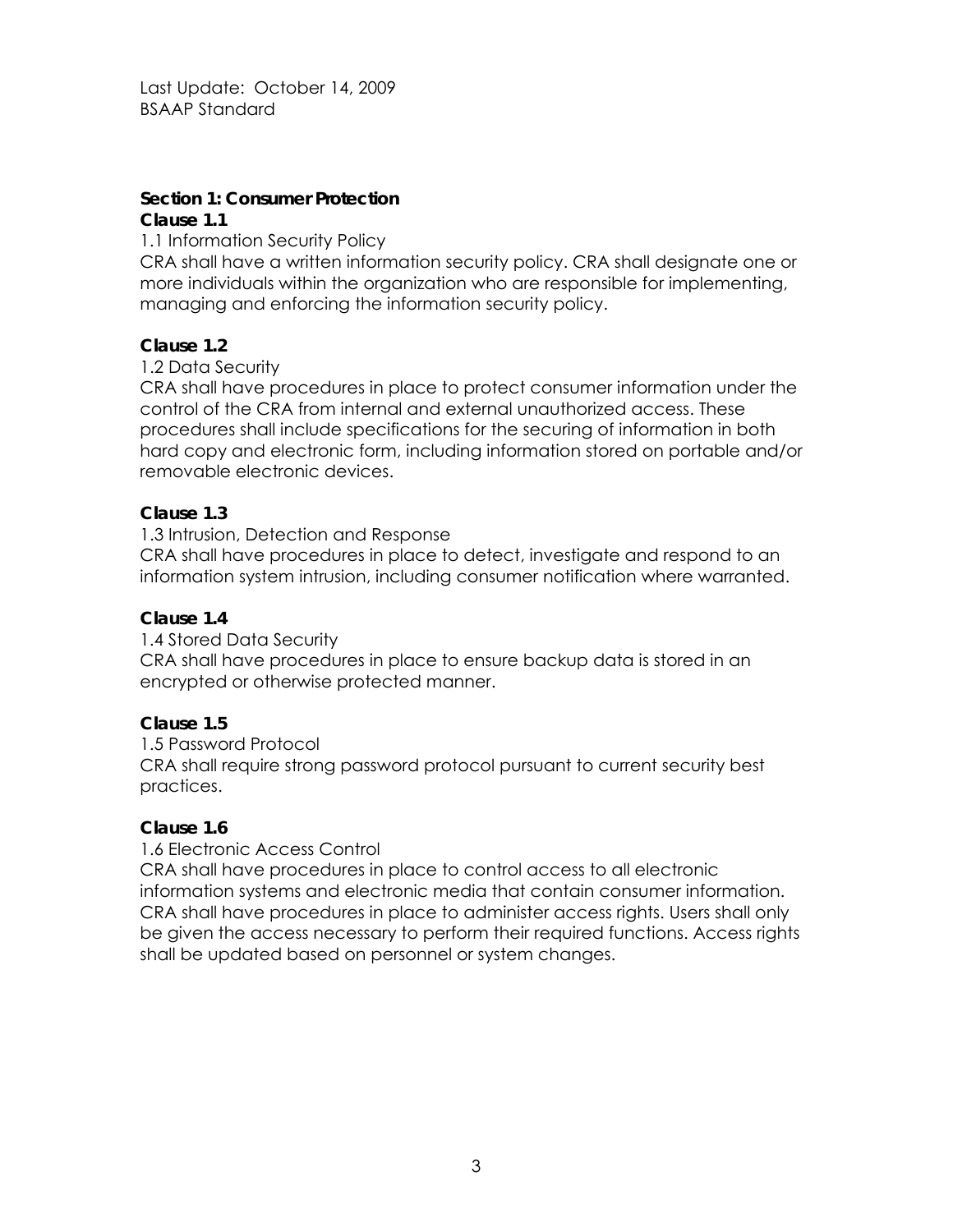# **Section 1: Consumer Protection**

## **Clause 1.1**

1.1 Information Security Policy

CRA shall have a written information security policy. CRA shall designate one or more individuals within the organization who are responsible for implementing, managing and enforcing the information security policy.

# **Clause 1.2**

# 1.2 Data Security

CRA shall have procedures in place to protect consumer information under the control of the CRA from internal and external unauthorized access. These procedures shall include specifications for the securing of information in both hard copy and electronic form, including information stored on portable and/or removable electronic devices.

# **Clause 1.3**

1.3 Intrusion, Detection and Response

CRA shall have procedures in place to detect, investigate and respond to an information system intrusion, including consumer notification where warranted.

# **Clause 1.4**

1.4 Stored Data Security CRA shall have procedures in place to ensure backup data is stored in an encrypted or otherwise protected manner.

# **Clause 1.5**

1.5 Password Protocol CRA shall require strong password protocol pursuant to current security best practices.

# **Clause 1.6**

# 1.6 Electronic Access Control

CRA shall have procedures in place to control access to all electronic information systems and electronic media that contain consumer information. CRA shall have procedures in place to administer access rights. Users shall only be given the access necessary to perform their required functions. Access rights shall be updated based on personnel or system changes.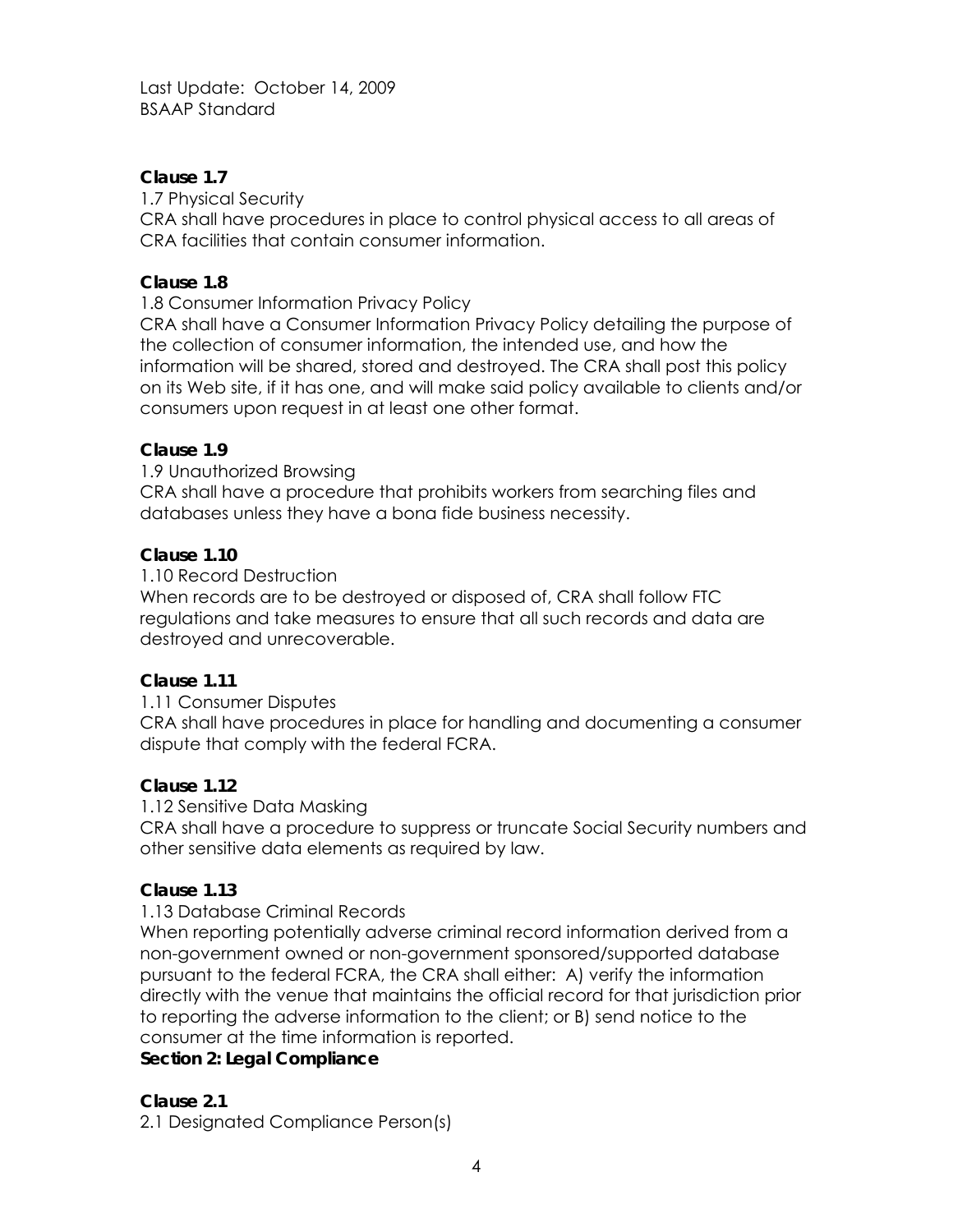## **Clause 1.7**

1.7 Physical Security

CRA shall have procedures in place to control physical access to all areas of CRA facilities that contain consumer information.

## **Clause 1.8**

1.8 Consumer Information Privacy Policy

CRA shall have a Consumer Information Privacy Policy detailing the purpose of the collection of consumer information, the intended use, and how the information will be shared, stored and destroyed. The CRA shall post this policy on its Web site, if it has one, and will make said policy available to clients and/or consumers upon request in at least one other format.

## **Clause 1.9**

1.9 Unauthorized Browsing CRA shall have a procedure that prohibits workers from searching files and databases unless they have a bona fide business necessity.

## **Clause 1.10**

1.10 Record Destruction

When records are to be destroyed or disposed of, CRA shall follow FTC regulations and take measures to ensure that all such records and data are destroyed and unrecoverable.

#### **Clause 1.11**

1.11 Consumer Disputes

CRA shall have procedures in place for handling and documenting a consumer dispute that comply with the federal FCRA.

#### **Clause 1.12**

1.12 Sensitive Data Masking

CRA shall have a procedure to suppress or truncate Social Security numbers and other sensitive data elements as required by law.

#### **Clause 1.13**

#### 1.13 Database Criminal Records

When reporting potentially adverse criminal record information derived from a non-government owned or non-government sponsored/supported database pursuant to the federal FCRA, the CRA shall either: A) verify the information directly with the venue that maintains the official record for that jurisdiction prior to reporting the adverse information to the client; or B) send notice to the consumer at the time information is reported.

#### **Section 2: Legal Compliance**

#### **Clause 2.1**

2.1 Designated Compliance Person(s)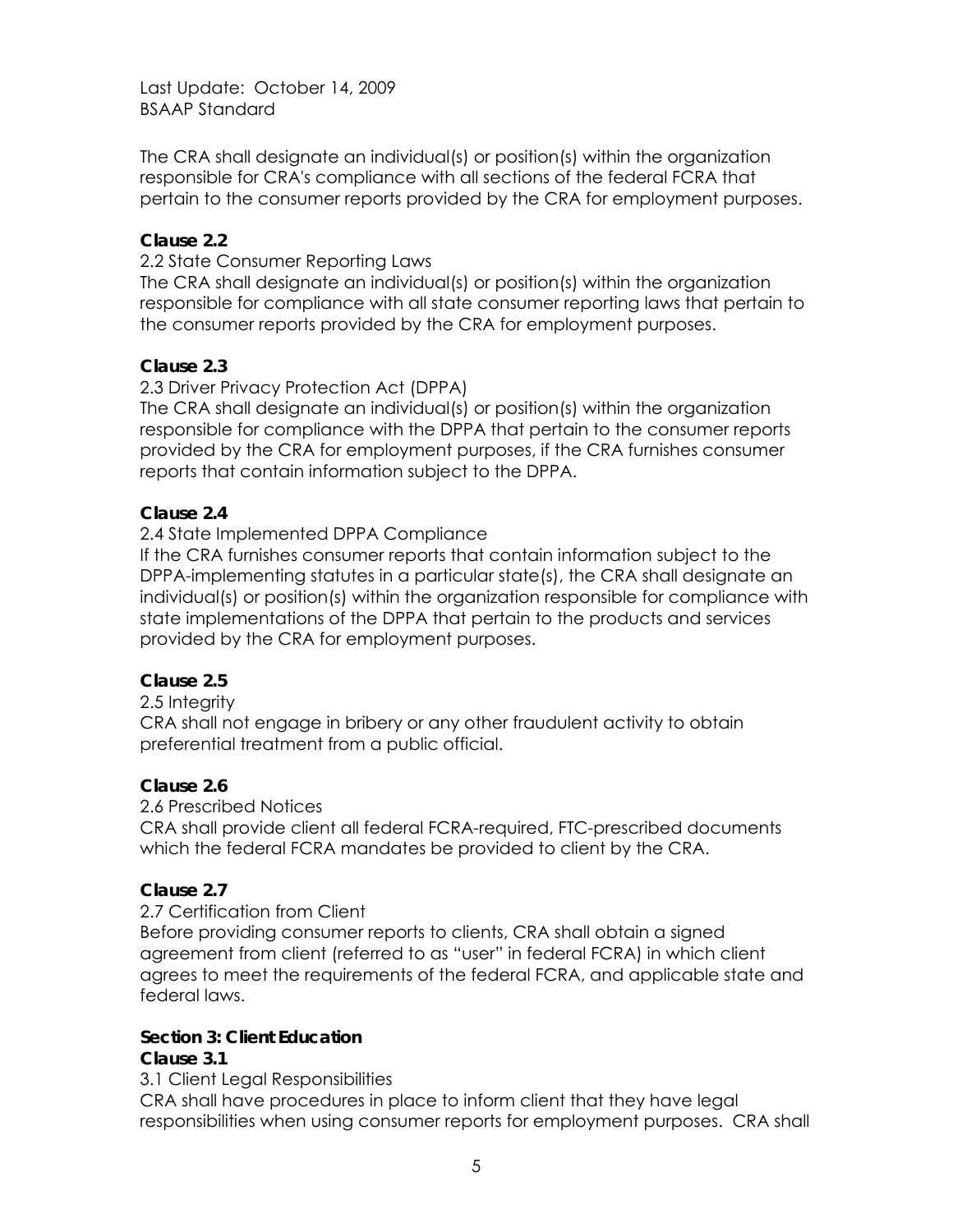The CRA shall designate an individual(s) or position(s) within the organization responsible for CRA's compliance with all sections of the federal FCRA that pertain to the consumer reports provided by the CRA for employment purposes.

## **Clause 2.2**

2.2 State Consumer Reporting Laws

The CRA shall designate an individual(s) or position(s) within the organization responsible for compliance with all state consumer reporting laws that pertain to the consumer reports provided by the CRA for employment purposes.

#### **Clause 2.3**

## 2.3 Driver Privacy Protection Act (DPPA)

The CRA shall designate an individual(s) or position(s) within the organization responsible for compliance with the DPPA that pertain to the consumer reports provided by the CRA for employment purposes, if the CRA furnishes consumer reports that contain information subject to the DPPA.

## **Clause 2.4**

## 2.4 State Implemented DPPA Compliance

If the CRA furnishes consumer reports that contain information subject to the DPPA-implementing statutes in a particular state(s), the CRA shall designate an individual(s) or position(s) within the organization responsible for compliance with state implementations of the DPPA that pertain to the products and services provided by the CRA for employment purposes.

#### **Clause 2.5**

#### 2.5 Integrity

CRA shall not engage in bribery or any other fraudulent activity to obtain preferential treatment from a public official.

#### **Clause 2.6**

#### 2.6 Prescribed Notices

CRA shall provide client all federal FCRA-required, FTC-prescribed documents which the federal FCRA mandates be provided to client by the CRA.

#### **Clause 2.7**

#### 2.7 Certification from Client

Before providing consumer reports to clients, CRA shall obtain a signed agreement from client (referred to as "user" in federal FCRA) in which client agrees to meet the requirements of the federal FCRA, and applicable state and federal laws.

#### **Section 3: Client Education**

#### **Clause 3.1**

3.1 Client Legal Responsibilities

CRA shall have procedures in place to inform client that they have legal responsibilities when using consumer reports for employment purposes. CRA shall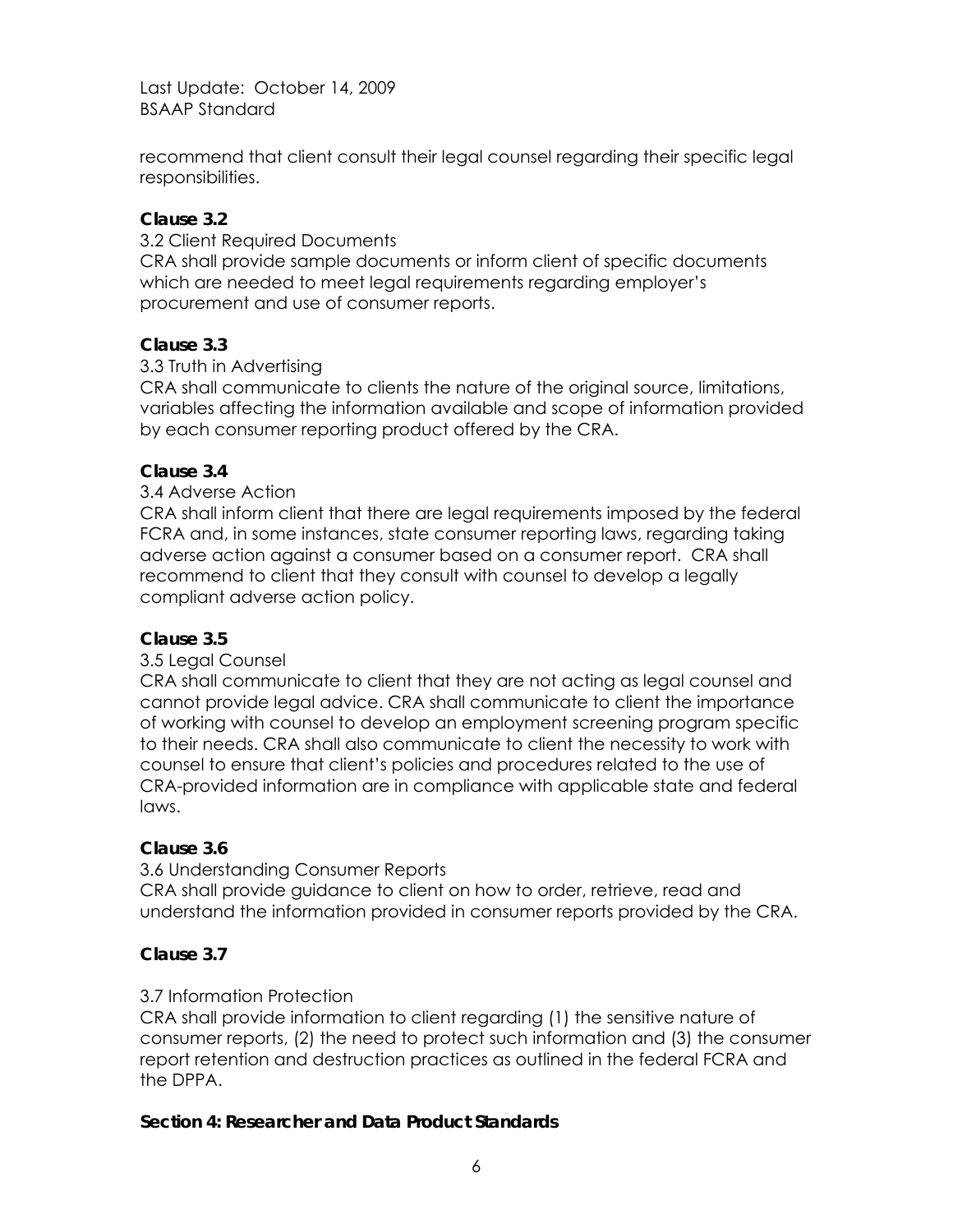recommend that client consult their legal counsel regarding their specific legal responsibilities.

## **Clause 3.2**

3.2 Client Required Documents CRA shall provide sample documents or inform client of specific documents which are needed to meet legal requirements regarding employer's procurement and use of consumer reports.

## **Clause 3.3**

#### 3.3 Truth in Advertising

CRA shall communicate to clients the nature of the original source, limitations, variables affecting the information available and scope of information provided by each consumer reporting product offered by the CRA.

## **Clause 3.4**

## 3.4 Adverse Action

CRA shall inform client that there are legal requirements imposed by the federal FCRA and, in some instances, state consumer reporting laws, regarding taking adverse action against a consumer based on a consumer report. CRA shall recommend to client that they consult with counsel to develop a legally compliant adverse action policy.

#### **Clause 3.5**

#### 3.5 Legal Counsel

CRA shall communicate to client that they are not acting as legal counsel and cannot provide legal advice. CRA shall communicate to client the importance of working with counsel to develop an employment screening program specific to their needs. CRA shall also communicate to client the necessity to work with counsel to ensure that client's policies and procedures related to the use of CRA-provided information are in compliance with applicable state and federal laws.

#### **Clause 3.6**

#### 3.6 Understanding Consumer Reports

CRA shall provide guidance to client on how to order, retrieve, read and understand the information provided in consumer reports provided by the CRA.

# **Clause 3.7**

#### 3.7 Information Protection

CRA shall provide information to client regarding (1) the sensitive nature of consumer reports, (2) the need to protect such information and (3) the consumer report retention and destruction practices as outlined in the federal FCRA and the DPPA.

#### **Section 4: Researcher and Data Product Standards**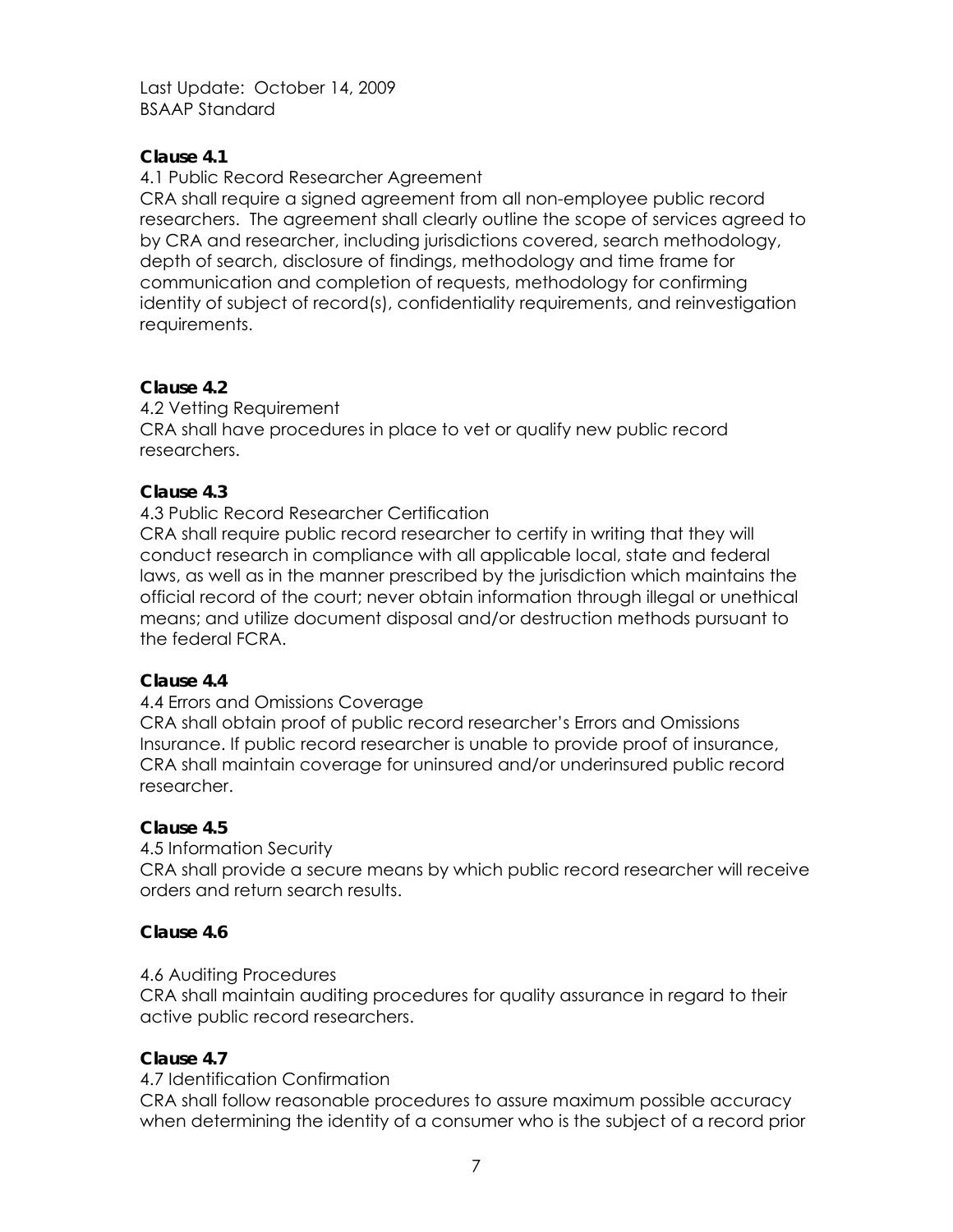## **Clause 4.1**

4.1 Public Record Researcher Agreement

CRA shall require a signed agreement from all non-employee public record researchers. The agreement shall clearly outline the scope of services agreed to by CRA and researcher, including jurisdictions covered, search methodology, depth of search, disclosure of findings, methodology and time frame for communication and completion of requests, methodology for confirming identity of subject of record(s), confidentiality requirements, and reinvestigation requirements.

# **Clause 4.2**

4.2 Vetting Requirement

CRA shall have procedures in place to vet or qualify new public record researchers.

# **Clause 4.3**

4.3 Public Record Researcher Certification

CRA shall require public record researcher to certify in writing that they will conduct research in compliance with all applicable local, state and federal laws, as well as in the manner prescribed by the jurisdiction which maintains the official record of the court; never obtain information through illegal or unethical means; and utilize document disposal and/or destruction methods pursuant to the federal FCRA.

#### **Clause 4.4**

#### 4.4 Errors and Omissions Coverage

CRA shall obtain proof of public record researcher's Errors and Omissions Insurance. If public record researcher is unable to provide proof of insurance, CRA shall maintain coverage for uninsured and/or underinsured public record researcher.

#### **Clause 4.5**

4.5 Information Security

CRA shall provide a secure means by which public record researcher will receive orders and return search results.

# **Clause 4.6**

# 4.6 Auditing Procedures

CRA shall maintain auditing procedures for quality assurance in regard to their active public record researchers.

#### **Clause 4.7**

4.7 Identification Confirmation

CRA shall follow reasonable procedures to assure maximum possible accuracy when determining the identity of a consumer who is the subject of a record prior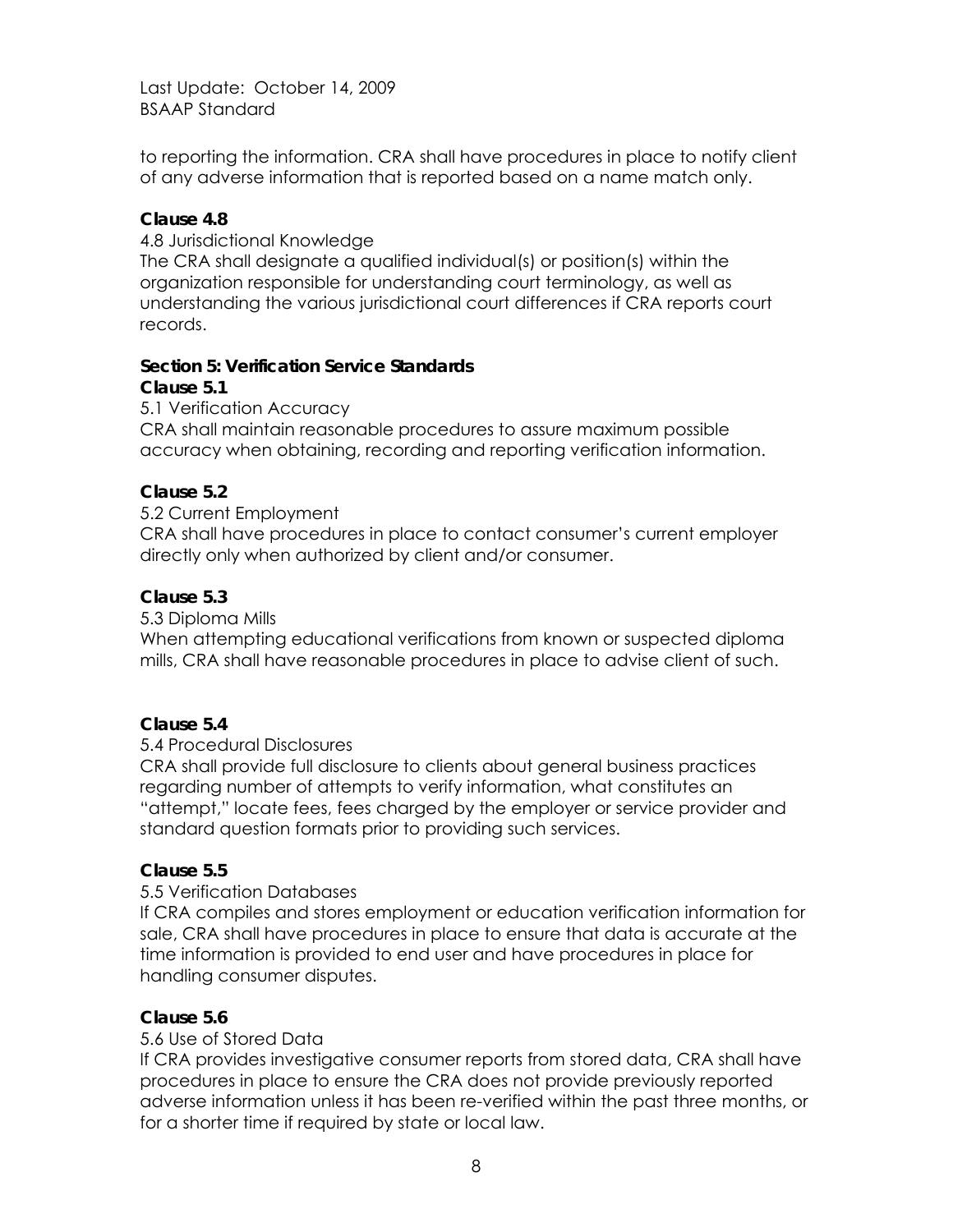to reporting the information. CRA shall have procedures in place to notify client of any adverse information that is reported based on a name match only.

## **Clause 4.8**

4.8 Jurisdictional Knowledge The CRA shall designate a qualified individual(s) or position(s) within the organization responsible for understanding court terminology, as well as understanding the various jurisdictional court differences if CRA reports court records.

# **Section 5: Verification Service Standards**

## **Clause 5.1**

5.1 Verification Accuracy

CRA shall maintain reasonable procedures to assure maximum possible accuracy when obtaining, recording and reporting verification information.

# **Clause 5.2**

#### 5.2 Current Employment

CRA shall have procedures in place to contact consumer's current employer directly only when authorized by client and/or consumer.

#### **Clause 5.3**

#### 5.3 Diploma Mills

When attempting educational verifications from known or suspected diploma mills, CRA shall have reasonable procedures in place to advise client of such.

#### **Clause 5.4**

# 5.4 Procedural Disclosures

CRA shall provide full disclosure to clients about general business practices regarding number of attempts to verify information, what constitutes an "attempt," locate fees, fees charged by the employer or service provider and standard question formats prior to providing such services.

# **Clause 5.5**

# 5.5 Verification Databases

If CRA compiles and stores employment or education verification information for sale, CRA shall have procedures in place to ensure that data is accurate at the time information is provided to end user and have procedures in place for handling consumer disputes.

# **Clause 5.6**

# 5.6 Use of Stored Data

If CRA provides investigative consumer reports from stored data, CRA shall have procedures in place to ensure the CRA does not provide previously reported adverse information unless it has been re-verified within the past three months, or for a shorter time if required by state or local law.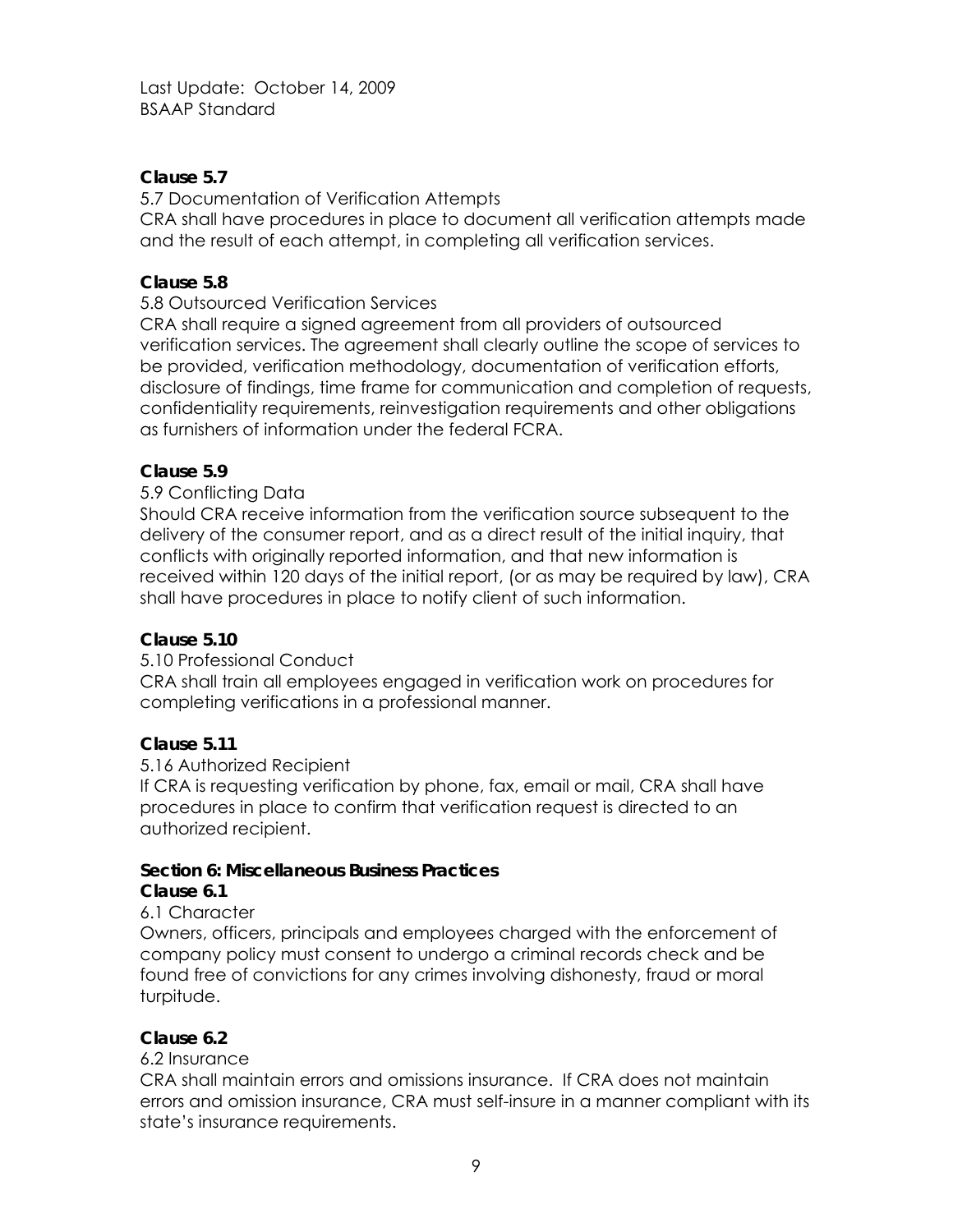## **Clause 5.7**

5.7 Documentation of Verification Attempts

CRA shall have procedures in place to document all verification attempts made and the result of each attempt, in completing all verification services.

# **Clause 5.8**

5.8 Outsourced Verification Services

CRA shall require a signed agreement from all providers of outsourced verification services. The agreement shall clearly outline the scope of services to be provided, verification methodology, documentation of verification efforts, disclosure of findings, time frame for communication and completion of requests, confidentiality requirements, reinvestigation requirements and other obligations as furnishers of information under the federal FCRA.

## **Clause 5.9**

5.9 Conflicting Data

Should CRA receive information from the verification source subsequent to the delivery of the consumer report, and as a direct result of the initial inquiry, that conflicts with originally reported information, and that new information is received within 120 days of the initial report, (or as may be required by law), CRA shall have procedures in place to notify client of such information.

# **Clause 5.10**

5.10 Professional Conduct

CRA shall train all employees engaged in verification work on procedures for completing verifications in a professional manner.

# **Clause 5.11**

#### 5.16 Authorized Recipient

If CRA is requesting verification by phone, fax, email or mail, CRA shall have procedures in place to confirm that verification request is directed to an authorized recipient.

#### **Section 6: Miscellaneous Business Practices**

#### **Clause 6.1**

# 6.1 Character

Owners, officers, principals and employees charged with the enforcement of company policy must consent to undergo a criminal records check and be found free of convictions for any crimes involving dishonesty, fraud or moral turpitude.

#### **Clause 6.2**

#### 6.2 Insurance

CRA shall maintain errors and omissions insurance. If CRA does not maintain errors and omission insurance, CRA must self-insure in a manner compliant with its state's insurance requirements.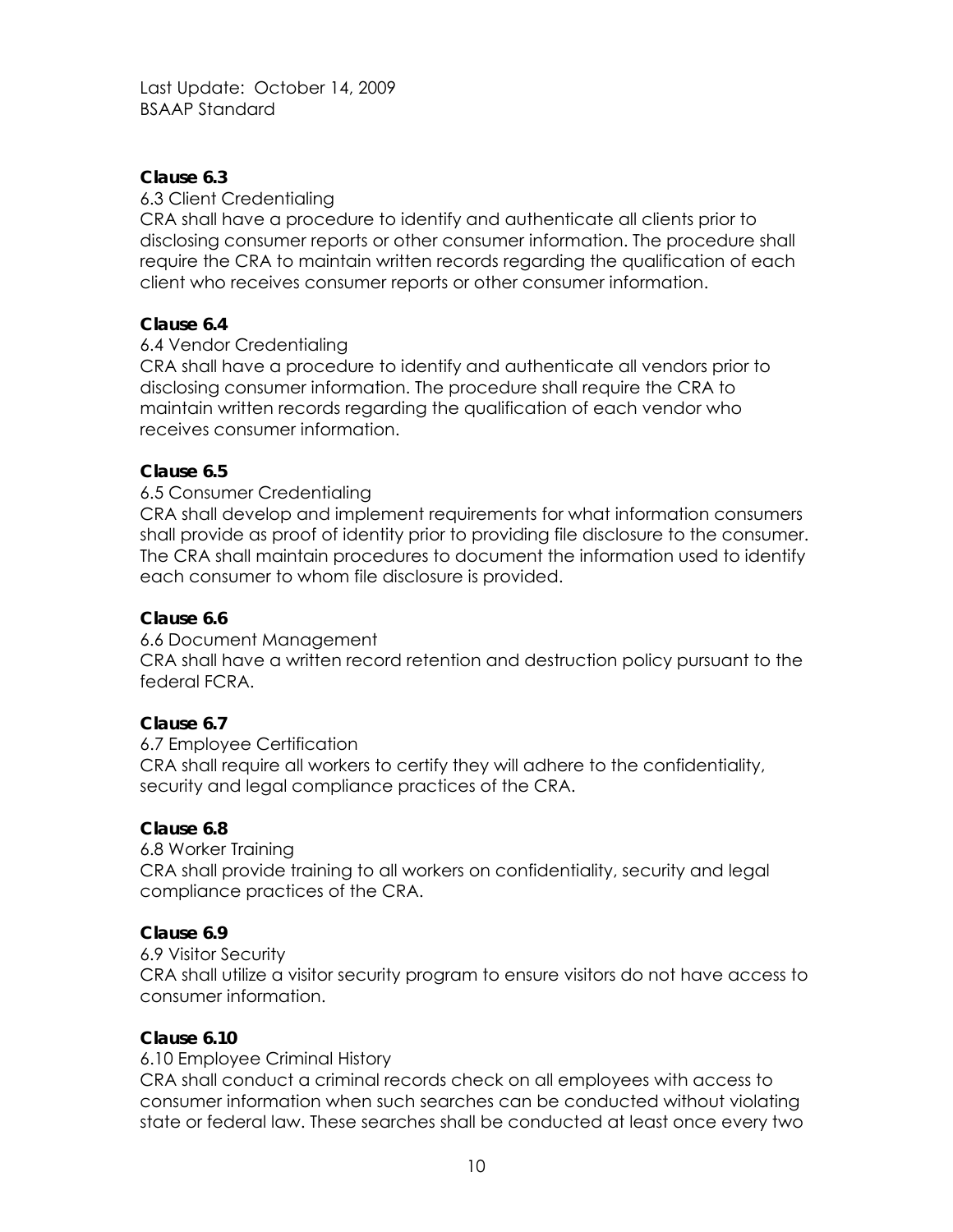## **Clause 6.3**

#### 6.3 Client Credentialing

CRA shall have a procedure to identify and authenticate all clients prior to disclosing consumer reports or other consumer information. The procedure shall require the CRA to maintain written records regarding the qualification of each client who receives consumer reports or other consumer information.

#### **Clause 6.4**

#### 6.4 Vendor Credentialing

CRA shall have a procedure to identify and authenticate all vendors prior to disclosing consumer information. The procedure shall require the CRA to maintain written records regarding the qualification of each vendor who receives consumer information.

#### **Clause 6.5**

#### 6.5 Consumer Credentialing

CRA shall develop and implement requirements for what information consumers shall provide as proof of identity prior to providing file disclosure to the consumer. The CRA shall maintain procedures to document the information used to identify each consumer to whom file disclosure is provided.

#### **Clause 6.6**

6.6 Document Management

CRA shall have a written record retention and destruction policy pursuant to the federal FCRA.

#### **Clause 6.7**

6.7 Employee Certification CRA shall require all workers to certify they will adhere to the confidentiality, security and legal compliance practices of the CRA.

#### **Clause 6.8**

6.8 Worker Training CRA shall provide training to all workers on confidentiality, security and legal compliance practices of the CRA.

#### **Clause 6.9**

6.9 Visitor Security

CRA shall utilize a visitor security program to ensure visitors do not have access to consumer information.

#### **Clause 6.10**

6.10 Employee Criminal History

CRA shall conduct a criminal records check on all employees with access to consumer information when such searches can be conducted without violating state or federal law. These searches shall be conducted at least once every two